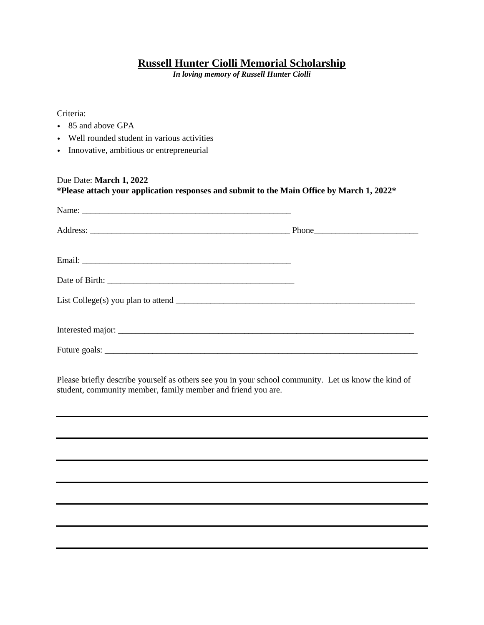## **Russell Hunter Ciolli Memorial Scholarship**

*In loving memory of Russell Hunter Ciolli*

Criteria:

- 85 and above GPA
- Well rounded student in various activities
- Innovative, ambitious or entrepreneurial

## Due Date: **March 1, 2022 \*Please attach your application responses and submit to the Main Office by March 1, 2022\*** Name: \_\_\_\_\_\_\_\_\_\_\_\_\_\_\_\_\_\_\_\_\_\_\_\_\_\_\_\_\_\_\_\_\_\_\_\_\_\_\_\_\_\_\_\_\_\_\_\_ Address: \_\_\_\_\_\_\_\_\_\_\_\_\_\_\_\_\_\_\_\_\_\_\_\_\_\_\_\_\_\_\_\_\_\_\_\_\_\_\_\_\_\_\_\_\_\_ Phone\_\_\_\_\_\_\_\_\_\_\_\_\_\_\_\_\_\_\_\_\_\_\_\_ Email: \_\_\_\_\_\_\_\_\_\_\_\_\_\_\_\_\_\_\_\_\_\_\_\_\_\_\_\_\_\_\_\_\_\_\_\_\_\_\_\_\_\_\_\_\_\_\_\_ Date of Birth: \_\_\_\_\_\_\_\_\_\_\_\_\_\_\_\_\_\_\_\_\_\_\_\_\_\_\_\_\_\_\_\_\_\_\_\_\_\_\_\_\_\_\_ List College(s) you plan to attend  $\_\_$ Interested major: Future goals: \_\_\_\_\_\_\_\_\_\_\_\_\_\_\_\_\_\_\_\_\_\_\_\_\_\_\_\_\_\_\_\_\_\_\_\_\_\_\_\_\_\_\_\_\_\_\_\_\_\_\_\_\_\_\_\_\_\_\_\_\_\_\_\_\_\_\_\_\_\_\_\_

Please briefly describe yourself as others see you in your school community. Let us know the kind of student, community member, family member and friend you are.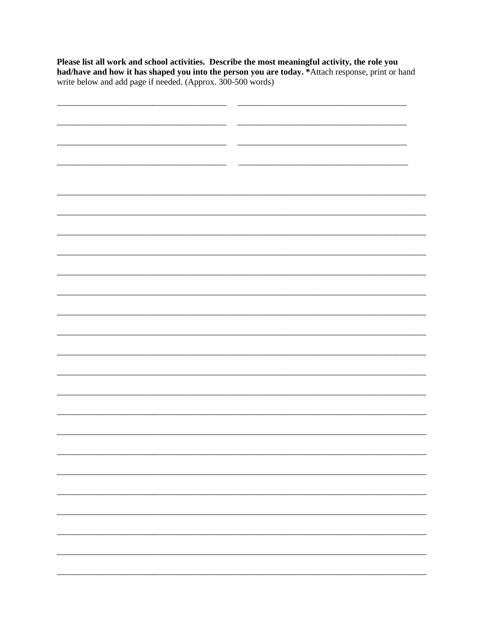Please list all work and school activities. Describe the most meaningful activity, the role you had/have and how it has shaped you into the person you are today. \*Attach response, print or hand write below and add page if

| __ |  |  |
|----|--|--|
|    |  |  |
|    |  |  |
|    |  |  |
|    |  |  |
|    |  |  |
|    |  |  |
|    |  |  |
|    |  |  |
|    |  |  |
|    |  |  |
|    |  |  |
|    |  |  |
|    |  |  |
|    |  |  |
|    |  |  |
|    |  |  |
|    |  |  |
|    |  |  |
|    |  |  |
|    |  |  |
|    |  |  |
|    |  |  |
|    |  |  |
|    |  |  |
|    |  |  |
|    |  |  |
|    |  |  |
|    |  |  |
|    |  |  |
|    |  |  |
|    |  |  |
|    |  |  |
|    |  |  |
|    |  |  |
|    |  |  |
|    |  |  |
|    |  |  |
|    |  |  |
|    |  |  |
|    |  |  |
|    |  |  |
|    |  |  |
|    |  |  |
|    |  |  |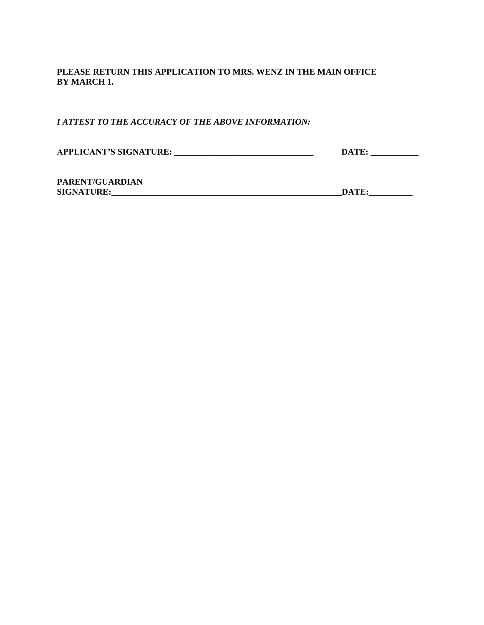## **PLEASE RETURN THIS APPLICATION TO MRS. WENZ IN THE MAIN OFFICE BY MARCH 1.**

*I ATTEST TO THE ACCURACY OF THE ABOVE INFORMATION:*

| <b>APPLICANT'S SIGNATURE:</b> |       |
|-------------------------------|-------|
|                               | DATE: |

**PARENT/GUARDIAN SIGNATURE:\_\_\_\_\_\_\_\_\_\_\_\_\_\_\_\_\_\_\_\_\_\_\_\_\_\_\_\_\_\_\_\_\_\_\_\_\_\_\_\_\_\_\_\_\_\_\_\_\_\_\_\_\_DATE:\_\_\_\_\_\_\_\_\_\_**